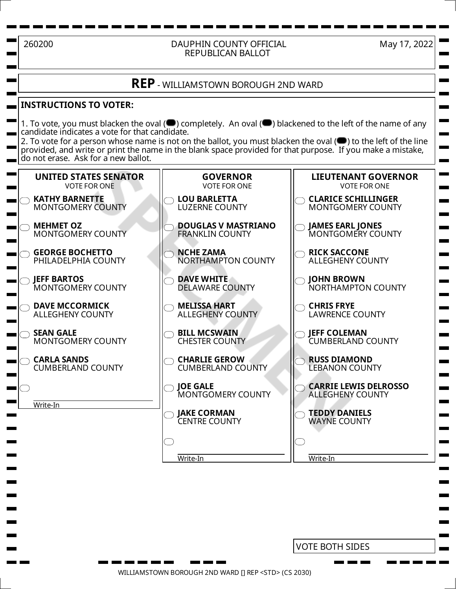## 260200 DAUPHIN COUNTY OFFICIAL REPUBLICAN BALLOT

May 17, 2022

## **REP** - WILLIAMSTOWN BOROUGH 2ND WARD

## **INSTRUCTIONS TO VOTER:**

1. To vote, you must blacken the oval ( $\blacksquare$ ) completely. An oval ( $\blacksquare$ ) blackened to the left of the name of any candidate indicates a vote for that candidate.

2. To vote for a person whose name is not on the ballot, you must blacken the oval  $($ **)** to the left of the line provided, and write or print the name in the blank space provided for that purpose. If you make a mistake, do not erase. Ask for a new ballot.



VOTE BOTH SIDES